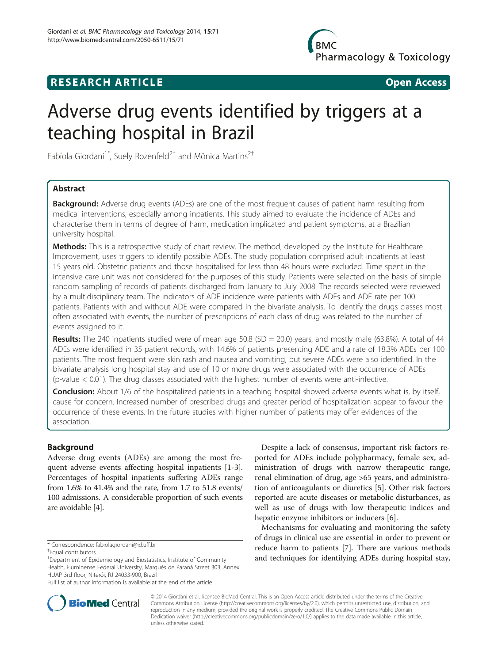# **RESEARCH ARTICLE Example 2014 CONSIDERING CONSIDERING CONSIDERING CONSIDERING CONSIDERING CONSIDERING CONSIDERING CONSIDERING CONSIDERING CONSIDERING CONSIDERING CONSIDERING CONSIDERING CONSIDERING CONSIDERING CONSIDE**

# Adverse drug events identified by triggers at a teaching hospital in Brazil

Fabíola Giordani<sup>1\*</sup>, Suely Rozenfeld<sup>2†</sup> and Mônica Martins<sup>2†</sup>

# Abstract

**Background:** Adverse drug events (ADEs) are one of the most frequent causes of patient harm resulting from medical interventions, especially among inpatients. This study aimed to evaluate the incidence of ADEs and characterise them in terms of degree of harm, medication implicated and patient symptoms, at a Brazilian university hospital.

Methods: This is a retrospective study of chart review. The method, developed by the Institute for Healthcare Improvement, uses triggers to identify possible ADEs. The study population comprised adult inpatients at least 15 years old. Obstetric patients and those hospitalised for less than 48 hours were excluded. Time spent in the intensive care unit was not considered for the purposes of this study. Patients were selected on the basis of simple random sampling of records of patients discharged from January to July 2008. The records selected were reviewed by a multidisciplinary team. The indicators of ADE incidence were patients with ADEs and ADE rate per 100 patients. Patients with and without ADE were compared in the bivariate analysis. To identify the drugs classes most often associated with events, the number of prescriptions of each class of drug was related to the number of events assigned to it.

Results: The 240 inpatients studied were of mean age 50.8 (SD = 20.0) years, and mostly male (63.8%). A total of 44 ADEs were identified in 35 patient records, with 14.6% of patients presenting ADE and a rate of 18.3% ADEs per 100 patients. The most frequent were skin rash and nausea and vomiting, but severe ADEs were also identified. In the bivariate analysis long hospital stay and use of 10 or more drugs were associated with the occurrence of ADEs (p-value < 0.01). The drug classes associated with the highest number of events were anti-infective.

**Conclusion:** About 1/6 of the hospitalized patients in a teaching hospital showed adverse events what is, by itself, cause for concern. Increased number of prescribed drugs and greater period of hospitalization appear to favour the occurrence of these events. In the future studies with higher number of patients may offer evidences of the association.

# Background

Adverse drug events (ADEs) are among the most frequent adverse events affecting hospital inpatients [[1-3](#page-6-0)]. Percentages of hospital inpatients suffering ADEs range from 1.6% to 41.4% and the rate, from 1.7 to 51.8 events/ 100 admissions. A considerable proportion of such events are avoidable [\[4](#page-6-0)].

Despite a lack of consensus, important risk factors reported for ADEs include polypharmacy, female sex, administration of drugs with narrow therapeutic range, renal elimination of drug, age >65 years, and administration of anticoagulants or diuretics [[5\]](#page-7-0). Other risk factors reported are acute diseases or metabolic disturbances, as well as use of drugs with low therapeutic indices and hepatic enzyme inhibitors or inducers [[6\]](#page-7-0).

Mechanisms for evaluating and monitoring the safety of drugs in clinical use are essential in order to prevent or reduce harm to patients [\[7](#page-7-0)]. There are various methods and techniques for identifying ADEs during hospital stay,



© 2014 Giordani et al.; licensee BioMed Central. This is an Open Access article distributed under the terms of the Creative Commons Attribution License [\(http://creativecommons.org/licenses/by/2.0\)](http://creativecommons.org/licenses/by/2.0), which permits unrestricted use, distribution, and reproduction in any medium, provided the original work is properly credited. The Creative Commons Public Domain Dedication waiver [\(http://creativecommons.org/publicdomain/zero/1.0/](http://creativecommons.org/publicdomain/zero/1.0/)) applies to the data made available in this article, unless otherwise stated.

<sup>\*</sup> Correspondence: [fabiolagiordani@id.uff.br](mailto:fabiolagiordani@id.uff.br) †

Equal contributors

<sup>&</sup>lt;sup>1</sup>Department of Epidemiology and Biostatistics, Institute of Community Health, Fluminense Federal University, Marquês de Paraná Street 303, Annex HUAP 3rd floor, Niterói, RJ 24033-900, Brazil

Full list of author information is available at the end of the article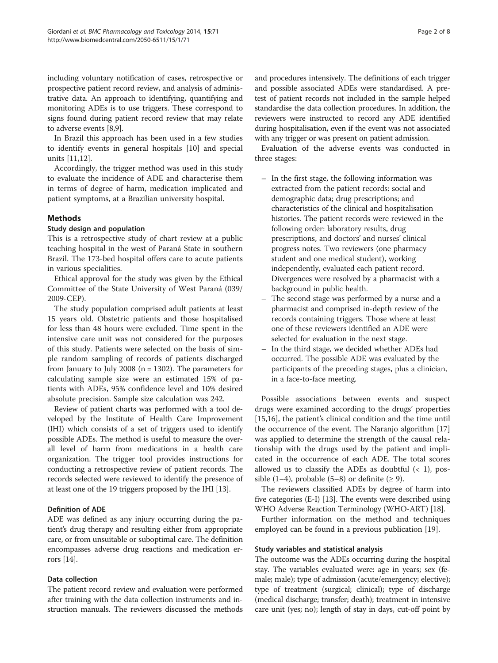including voluntary notification of cases, retrospective or prospective patient record review, and analysis of administrative data. An approach to identifying, quantifying and monitoring ADEs is to use triggers. These correspond to signs found during patient record review that may relate to adverse events [[8,9](#page-7-0)].

In Brazil this approach has been used in a few studies to identify events in general hospitals [[10\]](#page-7-0) and special units [\[11,12\]](#page-7-0).

Accordingly, the trigger method was used in this study to evaluate the incidence of ADE and characterise them in terms of degree of harm, medication implicated and patient symptoms, at a Brazilian university hospital.

# Methods

# Study design and population

This is a retrospective study of chart review at a public teaching hospital in the west of Paraná State in southern Brazil. The 173-bed hospital offers care to acute patients in various specialities.

Ethical approval for the study was given by the Ethical Committee of the State University of West Paraná (039/ 2009-CEP).

The study population comprised adult patients at least 15 years old. Obstetric patients and those hospitalised for less than 48 hours were excluded. Time spent in the intensive care unit was not considered for the purposes of this study. Patients were selected on the basis of simple random sampling of records of patients discharged from January to July 2008 ( $n = 1302$ ). The parameters for calculating sample size were an estimated 15% of patients with ADEs, 95% confidence level and 10% desired absolute precision. Sample size calculation was 242.

Review of patient charts was performed with a tool developed by the Institute of Health Care Improvement (IHI) which consists of a set of triggers used to identify possible ADEs. The method is useful to measure the overall level of harm from medications in a health care organization. The trigger tool provides instructions for conducting a retrospective review of patient records. The records selected were reviewed to identify the presence of at least one of the 19 triggers proposed by the IHI [\[13\]](#page-7-0).

# Definition of ADE

ADE was defined as any injury occurring during the patient's drug therapy and resulting either from appropriate care, or from unsuitable or suboptimal care. The definition encompasses adverse drug reactions and medication errors [\[14\]](#page-7-0).

# Data collection

The patient record review and evaluation were performed after training with the data collection instruments and instruction manuals. The reviewers discussed the methods

and procedures intensively. The definitions of each trigger and possible associated ADEs were standardised. A pretest of patient records not included in the sample helped standardise the data collection procedures. In addition, the reviewers were instructed to record any ADE identified during hospitalisation, even if the event was not associated with any trigger or was present on patient admission.

Evaluation of the adverse events was conducted in three stages:

- In the first stage, the following information was extracted from the patient records: social and demographic data; drug prescriptions; and characteristics of the clinical and hospitalisation histories. The patient records were reviewed in the following order: laboratory results, drug prescriptions, and doctors' and nurses' clinical progress notes. Two reviewers (one pharmacy student and one medical student), working independently, evaluated each patient record. Divergences were resolved by a pharmacist with a background in public health.
- The second stage was performed by a nurse and a pharmacist and comprised in-depth review of the records containing triggers. Those where at least one of these reviewers identified an ADE were selected for evaluation in the next stage.
- In the third stage, we decided whether ADEs had occurred. The possible ADE was evaluated by the participants of the preceding stages, plus a clinician, in a face-to-face meeting.

Possible associations between events and suspect drugs were examined according to the drugs' properties [[15,16\]](#page-7-0), the patient's clinical condition and the time until the occurrence of the event. The Naranjo algorithm [[17](#page-7-0)] was applied to determine the strength of the causal relationship with the drugs used by the patient and implicated in the occurrence of each ADE. The total scores allowed us to classify the ADEs as doubtful  $(< 1)$ , possible (1–4), probable (5–8) or definite ( $\geq$  9).

The reviewers classified ADEs by degree of harm into five categories (E-I) [\[13\]](#page-7-0). The events were described using WHO Adverse Reaction Terminology (WHO-ART) [\[18\]](#page-7-0).

Further information on the method and techniques employed can be found in a previous publication [\[19](#page-7-0)].

# Study variables and statistical analysis

The outcome was the ADEs occurring during the hospital stay. The variables evaluated were: age in years; sex (female; male); type of admission (acute/emergency; elective); type of treatment (surgical; clinical); type of discharge (medical discharge; transfer; death); treatment in intensive care unit (yes; no); length of stay in days, cut-off point by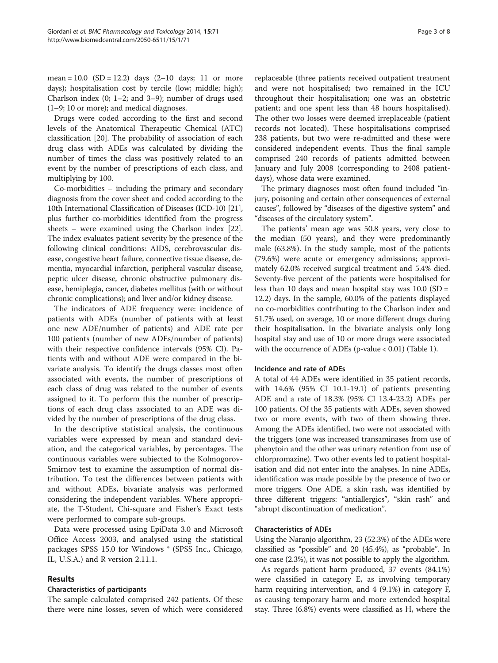mean =  $10.0$  (SD =  $12.2$ ) days (2-10 days; 11 or more days); hospitalisation cost by tercile (low; middle; high); Charlson index (0; 1–2; and 3–9); number of drugs used (1–9; 10 or more); and medical diagnoses.

Drugs were coded according to the first and second levels of the Anatomical Therapeutic Chemical (ATC) classification [\[20](#page-7-0)]. The probability of association of each drug class with ADEs was calculated by dividing the number of times the class was positively related to an event by the number of prescriptions of each class, and multiplying by 100.

Co-morbidities – including the primary and secondary diagnosis from the cover sheet and coded according to the 10th International Classification of Diseases (ICD-10) [[21](#page-7-0)], plus further co-morbidities identified from the progress sheets – were examined using the Charlson index [[22](#page-7-0)]. The index evaluates patient severity by the presence of the following clinical conditions: AIDS, cerebrovascular disease, congestive heart failure, connective tissue disease, dementia, myocardial infarction, peripheral vascular disease, peptic ulcer disease, chronic obstructive pulmonary disease, hemiplegia, cancer, diabetes mellitus (with or without chronic complications); and liver and/or kidney disease.

The indicators of ADE frequency were: incidence of patients with ADEs (number of patients with at least one new ADE/number of patients) and ADE rate per 100 patients (number of new ADEs/number of patients) with their respective confidence intervals (95% CI). Patients with and without ADE were compared in the bivariate analysis. To identify the drugs classes most often associated with events, the number of prescriptions of each class of drug was related to the number of events assigned to it. To perform this the number of prescriptions of each drug class associated to an ADE was divided by the number of prescriptions of the drug class.

In the descriptive statistical analysis, the continuous variables were expressed by mean and standard deviation, and the categorical variables, by percentages. The continuous variables were subjected to the Kolmogorov-Smirnov test to examine the assumption of normal distribution. To test the differences between patients with and without ADEs, bivariate analysis was performed considering the independent variables. Where appropriate, the T-Student, Chi-square and Fisher's Exact tests were performed to compare sub-groups.

Data were processed using EpiData 3.0 and Microsoft Office Access 2003, and analysed using the statistical packages SPSS 15.0 for Windows ® (SPSS Inc., Chicago, IL, U.S.A.) and R version 2.11.1.

# Results

# Characteristics of participants

The sample calculated comprised 242 patients. Of these there were nine losses, seven of which were considered replaceable (three patients received outpatient treatment and were not hospitalised; two remained in the ICU throughout their hospitalisation; one was an obstetric patient; and one spent less than 48 hours hospitalised). The other two losses were deemed irreplaceable (patient records not located). These hospitalisations comprised 238 patients, but two were re-admitted and these were considered independent events. Thus the final sample comprised 240 records of patients admitted between January and July 2008 (corresponding to 2408 patientdays), whose data were examined.

The primary diagnoses most often found included "injury, poisoning and certain other consequences of external causes", followed by "diseases of the digestive system" and "diseases of the circulatory system".

The patients' mean age was 50.8 years, very close to the median (50 years), and they were predominantly male (63.8%). In the study sample, most of the patients (79.6%) were acute or emergency admissions; approximately 62.0% received surgical treatment and 5.4% died. Seventy-five percent of the patients were hospitalised for less than 10 days and mean hospital stay was  $10.0$  (SD = 12.2) days. In the sample, 60.0% of the patients displayed no co-morbidities contributing to the Charlson index and 51.7% used, on average, 10 or more different drugs during their hospitalisation. In the bivariate analysis only long hospital stay and use of 10 or more drugs were associated with the occurrence of ADEs (p-value < 0.01) (Table [1\)](#page-3-0).

#### Incidence and rate of ADEs

A total of 44 ADEs were identified in 35 patient records, with 14.6% (95% CI 10.1-19.1) of patients presenting ADE and a rate of 18.3% (95% CI 13.4-23.2) ADEs per 100 patients. Of the 35 patients with ADEs, seven showed two or more events, with two of them showing three. Among the ADEs identified, two were not associated with the triggers (one was increased transaminases from use of phenytoin and the other was urinary retention from use of chlorpromazine). Two other events led to patient hospitalisation and did not enter into the analyses. In nine ADEs, identification was made possible by the presence of two or more triggers. One ADE, a skin rash, was identified by three different triggers: "antiallergics", "skin rash" and "abrupt discontinuation of medication".

#### Characteristics of ADEs

Using the Naranjo algorithm, 23 (52.3%) of the ADEs were classified as "possible" and 20 (45.4%), as "probable". In one case (2.3%), it was not possible to apply the algorithm.

As regards patient harm produced, 37 events (84.1%) were classified in category E, as involving temporary harm requiring intervention, and 4 (9.1%) in category F, as causing temporary harm and more extended hospital stay. Three (6.8%) events were classified as H, where the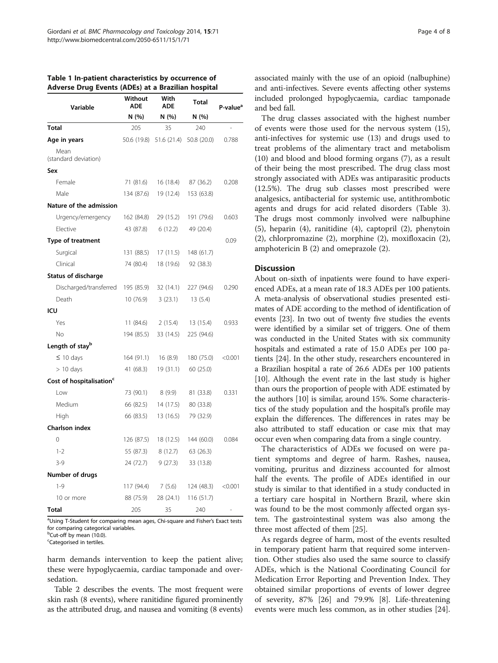| Variable                             | $(11021)$ at a b<br>Without<br><b>ADE</b> | ,,,,,,,,<br>With<br>ADE | Total<br>N (%) | P-value <sup>a</sup> |
|--------------------------------------|-------------------------------------------|-------------------------|----------------|----------------------|
|                                      | N (%)                                     | N (%)                   |                |                      |
| <b>Total</b>                         | 205                                       | 35                      | 240            |                      |
| Age in years                         |                                           | 50.6 (19.8) 51.6 (21.4) | 50.8 (20.0)    | 0.788                |
| Mean<br>(standard deviation)         |                                           |                         |                |                      |
| Sex                                  |                                           |                         |                |                      |
| Female                               | 71 (81.6)                                 | 16 (18.4)               | 87 (36.2)      | 0.208                |
| Male                                 | 134 (87.6)                                | 19 (12.4)               | 153 (63.8)     |                      |
| Nature of the admission              |                                           |                         |                |                      |
| Urgency/emergency                    | 162 (84.8)                                | 29 (15.2)               | 191 (79.6)     | 0.603                |
| Elective                             | 43 (87.8)                                 | 6(12.2)                 | 49 (20.4)      |                      |
| <b>Type of treatment</b>             |                                           |                         |                | 0.09                 |
| Surgical                             | 131 (88.5)                                | 17(11.5)                | 148 (61.7)     |                      |
| Clinical                             | 74 (80.4)                                 | 18 (19.6)               | 92 (38.3)      |                      |
| <b>Status of discharge</b>           |                                           |                         |                |                      |
| Discharged/transferred               | 195 (85.9)                                | 32 (14.1)               | 227 (94.6)     | 0.290                |
| Death                                | 10(76.9)                                  | 3(23.1)                 | 13 (5.4)       |                      |
| ICU                                  |                                           |                         |                |                      |
| Yes                                  | 11(84.6)                                  | 2(15.4)                 | 13(15.4)       | 0.933                |
| <b>No</b>                            | 194 (85.5)                                | 33 (14.5)               | 225 (94.6)     |                      |
| Length of stay <sup>b</sup>          |                                           |                         |                |                      |
| $\leq 10$ days                       | 164 (91.1)                                | 16(8.9)                 | 180 (75.0)     | < 0.001              |
| $> 10$ days                          | 41 (68.3)                                 | 19 (31.1)               | 60 (25.0)      |                      |
| Cost of hospitalisation <sup>c</sup> |                                           |                         |                |                      |
| Low                                  | 73 (90.1)                                 | 8(9.9)                  | 81 (33.8)      | 0.331                |
| Medium                               | 66 (82.5)                                 | 14 (17.5)               | 80 (33.8)      |                      |
| High                                 | 66 (83.5)                                 | 13 (16.5)               | 79 (32.9)      |                      |
| <b>Charlson index</b>                |                                           |                         |                |                      |
| 0                                    | 126 (87.5)                                | 18 (12.5)               | 144 (60.0)     | 0.084                |
| $1 - 2$                              | 55 (87.3)                                 | 8 (12.7)                | 63 (26.3)      |                      |
| $3-9$                                | 24 (72.7)                                 | 9(27.3)                 | 33 (13.8)      |                      |
| Number of drugs                      |                                           |                         |                |                      |
| $1 - 9$                              | 117 (94.4)                                | 7(5.6)                  | 124 (48.3)     | < 0.001              |
| 10 or more                           | 88 (75.9)                                 | 28 (24.1)               | 116 (51.7)     |                      |
| <b>Total</b>                         | 205                                       | 35                      | 240            |                      |

<span id="page-3-0"></span>Table 1 In-patient characteristics by occurrence of Adverse Drug Events (ADEs) at a Brazilian hospital

aUsing T-Student for comparing mean ages, Chi-square and Fisher's Exact tests for comparing categorical variables.

<sup>b</sup>Cut-off by mean (10.0).

<sup>c</sup>Categorised in tertiles.

harm demands intervention to keep the patient alive; these were hypoglycaemia, cardiac tamponade and oversedation.

Table [2](#page-4-0) describes the events. The most frequent were skin rash (8 events), where ranitidine figured prominently as the attributed drug, and nausea and vomiting (8 events)

associated mainly with the use of an opioid (nalbuphine) and anti-infectives. Severe events affecting other systems included prolonged hypoglycaemia, cardiac tamponade and bed fall.

The drug classes associated with the highest number of events were those used for the nervous system (15), anti-infectives for systemic use (13) and drugs used to treat problems of the alimentary tract and metabolism (10) and blood and blood forming organs (7), as a result of their being the most prescribed. The drug class most strongly associated with ADEs was antiparasitic products (12.5%). The drug sub classes most prescribed were analgesics, antibacterial for systemic use, antithrombotic agents and drugs for acid related disorders (Table [3](#page-5-0)). The drugs most commonly involved were nalbuphine (5), heparin (4), ranitidine (4), captopril (2), phenytoin (2), chlorpromazine (2), morphine (2), moxifloxacin (2), amphotericin B (2) and omeprazole (2).

#### **Discussion**

About on-sixth of inpatients were found to have experienced ADEs, at a mean rate of 18.3 ADEs per 100 patients. A meta-analysis of observational studies presented estimates of ADE according to the method of identification of events [\[23\]](#page-7-0). In two out of twenty five studies the events were identified by a similar set of triggers. One of them was conducted in the United States with six community hospitals and estimated a rate of 15.0 ADEs per 100 patients [\[24\]](#page-7-0). In the other study, researchers encountered in a Brazilian hospital a rate of 26.6 ADEs per 100 patients [[10](#page-7-0)]. Although the event rate in the last study is higher than ours the proportion of people with ADE estimated by the authors [[10](#page-7-0)] is similar, around 15%. Some characteristics of the study population and the hospital's profile may explain the differences. The differences in rates may be also attributed to staff education or case mix that may occur even when comparing data from a single country.

The characteristics of ADEs we focused on were patient symptoms and degree of harm. Rashes, nausea, vomiting, pruritus and dizziness accounted for almost half the events. The profile of ADEs identified in our study is similar to that identified in a study conducted in a tertiary care hospital in Northern Brazil, where skin was found to be the most commonly affected organ system. The gastrointestinal system was also among the three most affected of them [[25](#page-7-0)].

As regards degree of harm, most of the events resulted in temporary patient harm that required some intervention. Other studies also used the same source to classify ADEs, which is the National Coordinating Council for Medication Error Reporting and Prevention Index. They obtained similar proportions of events of lower degree of severity, 87% [[26\]](#page-7-0) and 79.9% [[8\]](#page-7-0). Life-threatening events were much less common, as in other studies [\[24](#page-7-0)].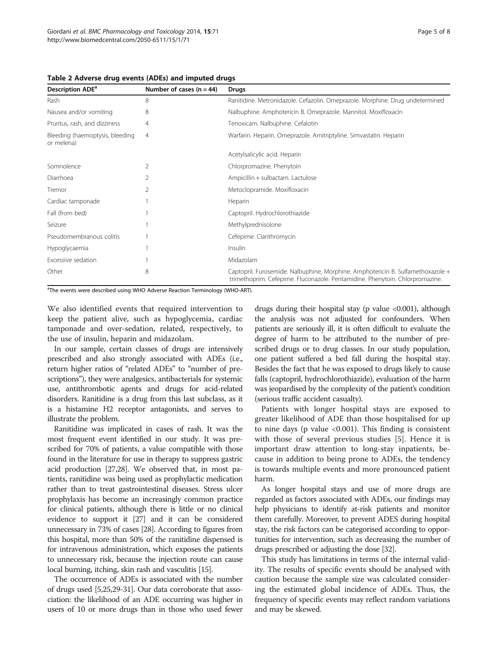| Description ADE <sup>a</sup>                  | Number of cases $(n = 44)$ | <b>Drugs</b>                                                                                                                                                    |  |
|-----------------------------------------------|----------------------------|-----------------------------------------------------------------------------------------------------------------------------------------------------------------|--|
| Rash                                          | 8                          | Ranitidine. Metronidazole. Cefazolin. Omeprazole. Morphine. Drug undetermined                                                                                   |  |
| Nausea and/or vomiting                        | 8                          | Nalbuphine. Amphotericin B. Omeprazole. Mannitol. Moxifloxacin                                                                                                  |  |
| Pruritus, rash, and dizziness                 | 4                          | Tenoxicam. Nalbuphine. Cefalotin                                                                                                                                |  |
| Bleeding (haemoptysis, bleeding<br>or melena) | $\overline{4}$             | Warfarin. Heparin. Omeprazole. Amitriptyline. Simvastatin. Heparin                                                                                              |  |
|                                               |                            | Acetylsalicylic acid. Heparin                                                                                                                                   |  |
| Somnolence                                    | 2                          | Chlorpromazine. Phenytoin                                                                                                                                       |  |
| Diarrhoea                                     | 2                          | Ampicillin + sulbactam. Lactulose                                                                                                                               |  |
| Tremor                                        | 2                          | Metoclopramide. Moxifloxacin                                                                                                                                    |  |
| Cardiac tamponade                             |                            | Heparin                                                                                                                                                         |  |
| Fall (from bed)                               |                            | Captopril. Hydrochlorothiazide                                                                                                                                  |  |
| Seizure                                       |                            | Methylprednisolone                                                                                                                                              |  |
| Pseudomembranous colitis                      |                            | Cefepime. Clarithromycin                                                                                                                                        |  |
| Hypoglycaemia                                 |                            | Insulin                                                                                                                                                         |  |
| Excessive sedation                            |                            | Midazolam                                                                                                                                                       |  |
| Other                                         | 8                          | Captopril. Furosemide. Nalbuphine, Morphine. Amphotericin B. Sulfamethoxazole +<br>trimethoprim. Cefepime. Fluconazole. Pentamidine. Phenytoin. Chlorpromazine. |  |

<span id="page-4-0"></span>Table 2 Adverse drug events (ADEs) and imputed drugs

<sup>a</sup>The events were described using WHO Adverse Reaction Terminology (WHO-ART).

We also identified events that required intervention to keep the patient alive, such as hypoglycemia, cardiac tamponade and over-sedation, related, respectively, to the use of insulin, heparin and midazolam.

In our sample, certain classes of drugs are intensively prescribed and also strongly associated with ADEs (i.e., return higher ratios of "related ADEs" to "number of prescriptions"), they were analgesics, antibacterials for systemic use, antithrombotic agents and drugs for acid-related disorders. Ranitidine is a drug from this last subclass, as it is a histamine H2 receptor antagonists, and serves to illustrate the problem.

Ranitidine was implicated in cases of rash. It was the most frequent event identified in our study. It was prescribed for 70% of patients, a value compatible with those found in the literature for use in therapy to suppress gastric acid production [[27,28\]](#page-7-0). We observed that, in most patients, ranitidine was being used as prophylactic medication rather than to treat gastrointestinal diseases. Stress ulcer prophylaxis has become an increasingly common practice for clinical patients, although there is little or no clinical evidence to support it [[27](#page-7-0)] and it can be considered unnecessary in 73% of cases [[28](#page-7-0)]. According to figures from this hospital, more than 50% of the ranitidine dispensed is for intravenous administration, which exposes the patients to unnecessary risk, because the injection route can cause local burning, itching, skin rash and vasculitis [\[15\]](#page-7-0).

The occurrence of ADEs is associated with the number of drugs used [\[5,25,29-31\]](#page-7-0). Our data corroborate that association: the likelihood of an ADE occurring was higher in users of 10 or more drugs than in those who used fewer drugs during their hospital stay (p value <0.001), although the analysis was not adjusted for confounders. When patients are seriously ill, it is often difficult to evaluate the degree of harm to be attributed to the number of prescribed drugs or to drug classes. In our study population, one patient suffered a bed fall during the hospital stay. Besides the fact that he was exposed to drugs likely to cause falls (captopril, hydrochlorothiazide), evaluation of the harm was jeopardised by the complexity of the patient's condition (serious traffic accident casualty).

Patients with longer hospital stays are exposed to greater likelihood of ADE than those hospitalised for up to nine days ( $p$  value <0.001). This finding is consistent with those of several previous studies [\[5](#page-7-0)]. Hence it is important draw attention to long-stay inpatients, because in addition to being prone to ADEs, the tendency is towards multiple events and more pronounced patient harm.

As longer hospital stays and use of more drugs are regarded as factors associated with ADEs, our findings may help physicians to identify at-risk patients and monitor them carefully. Moreover, to prevent ADES during hospital stay, the risk factors can be categorised according to opportunities for intervention, such as decreasing the number of drugs prescribed or adjusting the dose [[32](#page-7-0)].

This study has limitations in terms of the internal validity. The results of specific events should be analysed with caution because the sample size was calculated considering the estimated global incidence of ADEs. Thus, the frequency of specific events may reflect random variations and may be skewed.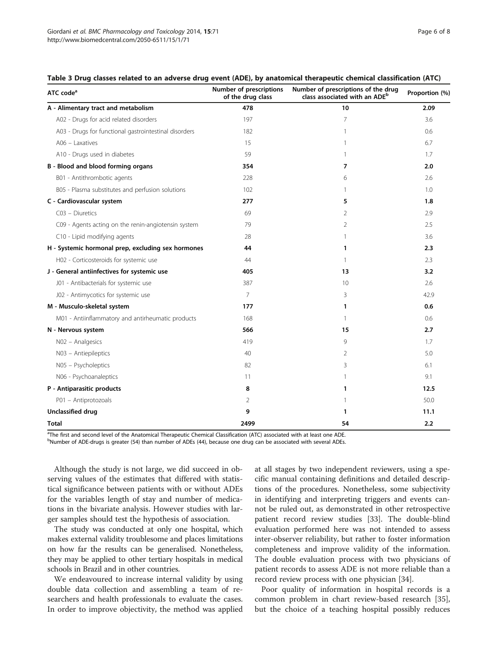| ATC code <sup>a</sup>                                 | <b>Number of prescriptions</b><br>of the drug class | Number of prescriptions of the drug<br>class associated with an ADE <sup>b</sup> | Proportion (%) |
|-------------------------------------------------------|-----------------------------------------------------|----------------------------------------------------------------------------------|----------------|
| A - Alimentary tract and metabolism                   | 478                                                 | 10                                                                               | 2.09           |
| A02 - Drugs for acid related disorders                | 197                                                 | $7\overline{ }$                                                                  | 3.6            |
| A03 - Drugs for functional gastrointestinal disorders | 182                                                 | $\mathbf{1}$                                                                     | 0.6            |
| $A06 -$ Laxatives                                     | 15                                                  | 1                                                                                | 6.7            |
| A10 - Drugs used in diabetes                          | 59                                                  | 1                                                                                | 1.7            |
| B - Blood and blood forming organs                    | 354                                                 | 7                                                                                | 2.0            |
| B01 - Antithrombotic agents                           | 228                                                 | 6                                                                                | 2.6            |
| B05 - Plasma substitutes and perfusion solutions      | 102                                                 | 1                                                                                | 1.0            |
| C - Cardiovascular system                             | 277                                                 | 5                                                                                | 1.8            |
| $CO3 - Diuretics$                                     | 69                                                  | 2                                                                                | 2.9            |
| C09 - Agents acting on the renin-angiotensin system   | 79                                                  | 2                                                                                | 2.5            |
| C10 - Lipid modifying agents                          | 28                                                  | $\mathbf{1}$                                                                     | 3.6            |
| H - Systemic hormonal prep, excluding sex hormones    | 44                                                  | 1                                                                                | 2.3            |
| H02 - Corticosteroids for systemic use                | 44                                                  | $\mathbf{1}$                                                                     | 2.3            |
| J - General antiinfectives for systemic use           | 405                                                 | 13                                                                               | 3.2            |
| J01 - Antibacterials for systemic use                 | 387                                                 | 10                                                                               | 2.6            |
| J02 - Antimycotics for systemic use                   | $\overline{7}$                                      | 3                                                                                | 42.9           |
| M - Musculo-skeletal system                           | 177                                                 | 1                                                                                | 0.6            |
| M01 - Antiinflammatory and antirheumatic products     | 168                                                 | 1                                                                                | 0.6            |
| N - Nervous system                                    | 566                                                 | 15                                                                               | 2.7            |
| N02 - Analgesics                                      | 419                                                 | 9                                                                                | 1.7            |
| N03 - Antiepileptics                                  | 40                                                  | 2                                                                                | 5.0            |
| N05 - Psycholeptics                                   | 82                                                  | 3                                                                                | 6.1            |
| N06 - Psychoanaleptics                                | 11                                                  | 1                                                                                | 9.1            |
| P - Antiparasitic products                            | 8                                                   | 1                                                                                | 12.5           |
| P01 - Antiprotozoals                                  | $\overline{2}$                                      |                                                                                  | 50.0           |
| Unclassified drug                                     | 9                                                   | 1                                                                                | 11.1           |
| <b>Total</b>                                          | 2499                                                | 54                                                                               | 2.2            |

<span id="page-5-0"></span>

|  |  | Table 3 Drug classes related to an adverse drug event (ADE), by anatomical therapeutic chemical classification (ATC) |  |
|--|--|----------------------------------------------------------------------------------------------------------------------|--|
|--|--|----------------------------------------------------------------------------------------------------------------------|--|

<sup>a</sup>The first and second level of the Anatomical Therapeutic Chemical Classification (ATC) associated with at least one ADE.

**bNumber of ADE-drugs is greater (54) than number of ADEs (44), because one drug can be associated with several ADEs.** 

Although the study is not large, we did succeed in observing values of the estimates that differed with statistical significance between patients with or without ADEs for the variables length of stay and number of medications in the bivariate analysis. However studies with larger samples should test the hypothesis of association.

The study was conducted at only one hospital, which makes external validity troublesome and places limitations on how far the results can be generalised. Nonetheless, they may be applied to other tertiary hospitals in medical schools in Brazil and in other countries.

We endeavoured to increase internal validity by using double data collection and assembling a team of researchers and health professionals to evaluate the cases. In order to improve objectivity, the method was applied at all stages by two independent reviewers, using a specific manual containing definitions and detailed descriptions of the procedures. Nonetheless, some subjectivity in identifying and interpreting triggers and events cannot be ruled out, as demonstrated in other retrospective patient record review studies [[33](#page-7-0)]. The double-blind evaluation performed here was not intended to assess inter-observer reliability, but rather to foster information completeness and improve validity of the information. The double evaluation process with two physicians of patient records to assess ADE is not more reliable than a record review process with one physician [[34\]](#page-7-0).

Poor quality of information in hospital records is a common problem in chart review-based research [\[35](#page-7-0)], but the choice of a teaching hospital possibly reduces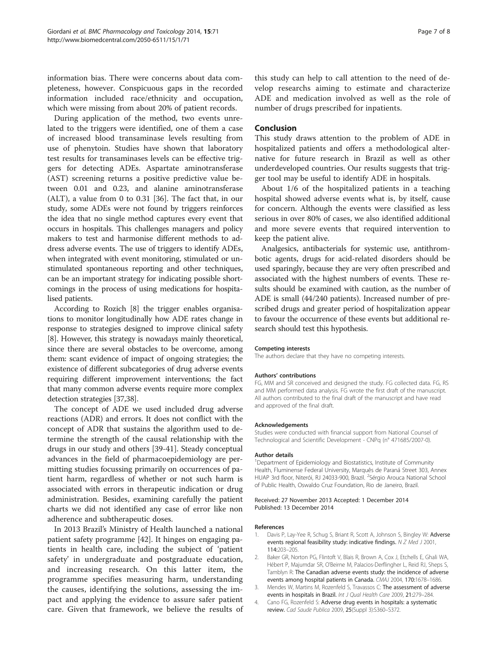<span id="page-6-0"></span>information bias. There were concerns about data completeness, however. Conspicuous gaps in the recorded information included race/ethnicity and occupation, which were missing from about 20% of patient records.

During application of the method, two events unrelated to the triggers were identified, one of them a case of increased blood transaminase levels resulting from use of phenytoin. Studies have shown that laboratory test results for transaminases levels can be effective triggers for detecting ADEs. Aspartate aminotransferase (AST) screening returns a positive predictive value between 0.01 and 0.23, and alanine aminotransferase (ALT), a value from 0 to 0.31 [[36](#page-7-0)]. The fact that, in our study, some ADEs were not found by triggers reinforces the idea that no single method captures every event that occurs in hospitals. This challenges managers and policy makers to test and harmonise different methods to address adverse events. The use of triggers to identify ADEs, when integrated with event monitoring, stimulated or unstimulated spontaneous reporting and other techniques, can be an important strategy for indicating possible shortcomings in the process of using medications for hospitalised patients.

According to Rozich [[8\]](#page-7-0) the trigger enables organisations to monitor longitudinally how ADE rates change in response to strategies designed to improve clinical safety [[8\]](#page-7-0). However, this strategy is nowadays mainly theoretical, since there are several obstacles to be overcome, among them: scant evidence of impact of ongoing strategies; the existence of different subcategories of drug adverse events requiring different improvement interventions; the fact that many common adverse events require more complex detection strategies [\[37,38](#page-7-0)].

The concept of ADE we used included drug adverse reactions (ADR) and errors. It does not conflict with the concept of ADR that sustains the algorithm used to determine the strength of the causal relationship with the drugs in our study and others [\[39-41](#page-7-0)]. Steady conceptual advances in the field of pharmacoepidemiology are permitting studies focussing primarily on occurrences of patient harm, regardless of whether or not such harm is associated with errors in therapeutic indication or drug administration. Besides, examining carefully the patient charts we did not identified any case of error like non adherence and subtherapeutic doses.

In 2013 Brazil's Ministry of Health launched a national patient safety programme [[42\]](#page-7-0). It hinges on engaging patients in health care, including the subject of 'patient safety' in undergraduate and postgraduate education, and increasing research. On this latter item, the programme specifies measuring harm, understanding the causes, identifying the solutions, assessing the impact and applying the evidence to assure safer patient care. Given that framework, we believe the results of

this study can help to call attention to the need of develop researchs aiming to estimate and characterize ADE and medication involved as well as the role of number of drugs prescribed for inpatients.

#### Conclusion

This study draws attention to the problem of ADE in hospitalized patients and offers a methodological alternative for future research in Brazil as well as other underdeveloped countries. Our results suggests that trigger tool may be useful to identify ADE in hospitals.

About 1/6 of the hospitalized patients in a teaching hospital showed adverse events what is, by itself, cause for concern. Although the events were classified as less serious in over 80% of cases, we also identified additional and more severe events that required intervention to keep the patient alive.

Analgesics, antibacterials for systemic use, antithrombotic agents, drugs for acid-related disorders should be used sparingly, because they are very often prescribed and associated with the highest numbers of events. These results should be examined with caution, as the number of ADE is small (44/240 patients). Increased number of prescribed drugs and greater period of hospitalization appear to favour the occurrence of these events but additional research should test this hypothesis.

#### Competing interests

The authors declare that they have no competing interests.

#### Authors' contributions

FG, MM and SR conceived and designed the study. FG collected data. FG, RS and MM performed data analysis. FG wrote the first draft of the manuscript. All authors contributed to the final draft of the manuscript and have read and approved of the final draft.

#### Acknowledgements

Studies were conducted with financial support from National Counsel of Technological and Scientific Development - CNPq (n° 471685/2007-0).

#### Author details

<sup>1</sup>Department of Epidemiology and Biostatistics, Institute of Community Health, Fluminense Federal University, Marquês de Paraná Street 303, Annex HUAP 3rd floor, Niterói, RJ 24033-900, Brazil. <sup>2</sup>Sérgio Arouca National School of Public Health, Oswaldo Cruz Foundation, Rio de Janeiro, Brazil.

#### Received: 27 November 2013 Accepted: 1 December 2014 Published: 13 December 2014

#### References

- 1. Davis P, Lay-Yee R, Schug S, Briant R, Scott A, Johnson S, Bingley W: Adverse events regional feasibility study: indicative findings. N Z Med J 2001, 114:203–205.
- 2. Baker GR, Norton PG, Flintoft V, Blais R, Brown A, Cox J, Etchells E, Ghali WA, Hébert P, Majumdar SR, O'Beirne M, Palacios-Derflingher L, Reid RJ, Sheps S, Tamblyn R: The Canadian adverse events study: the incidence of adverse events among hospital patients in Canada. CMAJ 2004, 170:1678–1686.
- 3. Mendes W, Martins M, Rozenfeld S, Travassos C: The assessment of adverse events in hospitals in Brazil. Int J Qual Health Care 2009, 21:279–284.
- 4. Cano FG, Rozenfeld S: Adverse drug events in hospitals: a systematic review. Cad Saude Publica 2009, 25(Suppl 3):S360–S372.